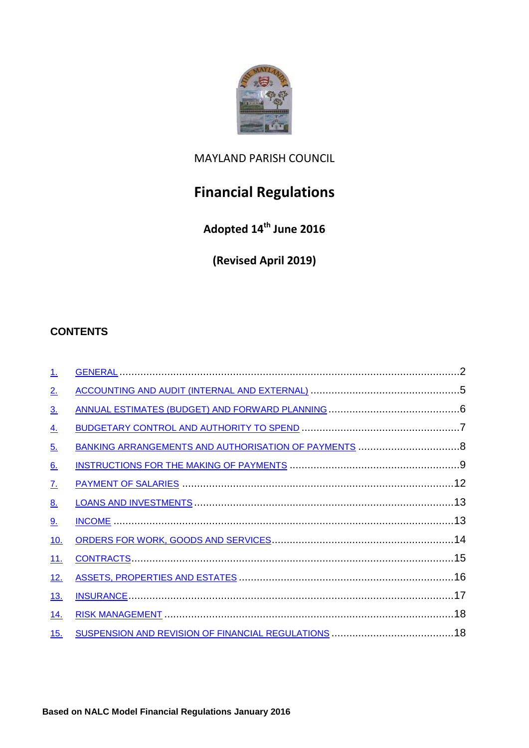

# MAYLAND PARISH COUNCIL

# **Financial Regulations**

**Adopted 14th June 2016**

**(Revised April 2019)**

# **CONTENTS**

| 1.                        |  |
|---------------------------|--|
| 2.                        |  |
| $\underline{3}$ .         |  |
| $\underline{4}$ .         |  |
| <u>5.</u>                 |  |
| 6.                        |  |
| $\underline{\mathcal{I}}$ |  |
| 8.                        |  |
| 9.                        |  |
| <u>10.</u>                |  |
| <u>11.</u>                |  |
| <u>12.</u>                |  |
| <u>13.</u>                |  |
| <u>14.</u>                |  |
| <u>15.</u>                |  |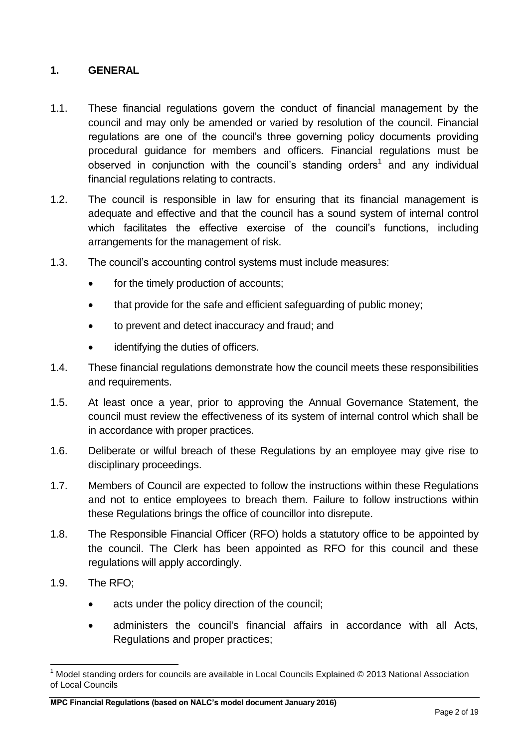#### <span id="page-1-0"></span>**1. GENERAL**

- 1.1. These financial regulations govern the conduct of financial management by the council and may only be amended or varied by resolution of the council. Financial regulations are one of the council's three governing policy documents providing procedural guidance for members and officers. Financial regulations must be observed in conjunction with the council's standing orders<sup>1</sup> and any individual financial regulations relating to contracts.
- 1.2. The council is responsible in law for ensuring that its financial management is adequate and effective and that the council has a sound system of internal control which facilitates the effective exercise of the council's functions, including arrangements for the management of risk.
- 1.3. The council's accounting control systems must include measures:
	- for the timely production of accounts;
	- that provide for the safe and efficient safeguarding of public money;
	- to prevent and detect inaccuracy and fraud; and
	- identifying the duties of officers.
- 1.4. These financial regulations demonstrate how the council meets these responsibilities and requirements.
- 1.5. At least once a year, prior to approving the Annual Governance Statement, the council must review the effectiveness of its system of internal control which shall be in accordance with proper practices.
- 1.6. Deliberate or wilful breach of these Regulations by an employee may give rise to disciplinary proceedings.
- 1.7. Members of Council are expected to follow the instructions within these Regulations and not to entice employees to breach them. Failure to follow instructions within these Regulations brings the office of councillor into disrepute.
- 1.8. The Responsible Financial Officer (RFO) holds a statutory office to be appointed by the council. The Clerk has been appointed as RFO for this council and these regulations will apply accordingly.
- 1.9. The RFO;

1

- acts under the policy direction of the council;
- administers the council's financial affairs in accordance with all Acts, Regulations and proper practices;

<sup>1</sup> Model standing orders for councils are available in Local Councils Explained © 2013 National Association of Local Councils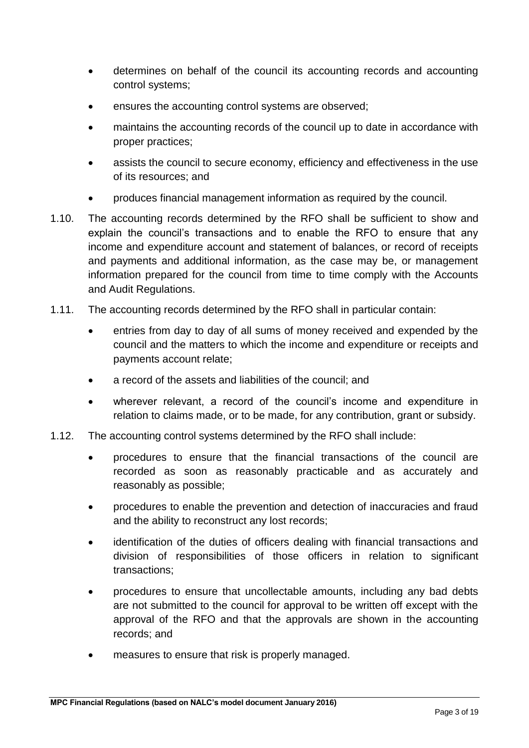- determines on behalf of the council its accounting records and accounting control systems;
- ensures the accounting control systems are observed;
- maintains the accounting records of the council up to date in accordance with proper practices;
- assists the council to secure economy, efficiency and effectiveness in the use of its resources; and
- produces financial management information as required by the council.
- 1.10. The accounting records determined by the RFO shall be sufficient to show and explain the council's transactions and to enable the RFO to ensure that any income and expenditure account and statement of balances, or record of receipts and payments and additional information, as the case may be, or management information prepared for the council from time to time comply with the Accounts and Audit Regulations.
- 1.11. The accounting records determined by the RFO shall in particular contain:
	- entries from day to day of all sums of money received and expended by the council and the matters to which the income and expenditure or receipts and payments account relate;
	- a record of the assets and liabilities of the council; and
	- wherever relevant, a record of the council's income and expenditure in relation to claims made, or to be made, for any contribution, grant or subsidy.
- 1.12. The accounting control systems determined by the RFO shall include:
	- procedures to ensure that the financial transactions of the council are recorded as soon as reasonably practicable and as accurately and reasonably as possible;
	- procedures to enable the prevention and detection of inaccuracies and fraud and the ability to reconstruct any lost records;
	- identification of the duties of officers dealing with financial transactions and division of responsibilities of those officers in relation to significant transactions;
	- procedures to ensure that uncollectable amounts, including any bad debts are not submitted to the council for approval to be written off except with the approval of the RFO and that the approvals are shown in the accounting records; and
	- measures to ensure that risk is properly managed.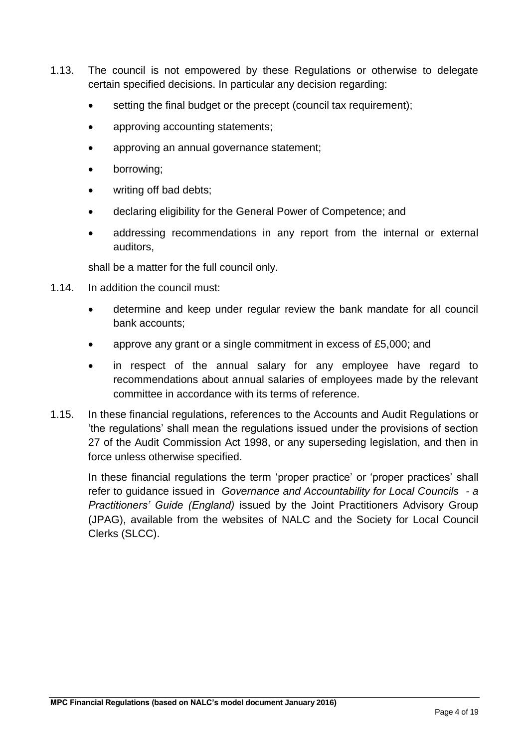- 1.13. The council is not empowered by these Regulations or otherwise to delegate certain specified decisions. In particular any decision regarding:
	- setting the final budget or the precept (council tax requirement);
	- approving accounting statements;
	- approving an annual governance statement;
	- borrowing;
	- writing off bad debts;
	- declaring eligibility for the General Power of Competence; and
	- addressing recommendations in any report from the internal or external auditors,

shall be a matter for the full council only.

- 1.14. In addition the council must:
	- determine and keep under regular review the bank mandate for all council bank accounts;
	- approve any grant or a single commitment in excess of £5,000; and
	- in respect of the annual salary for any employee have regard to recommendations about annual salaries of employees made by the relevant committee in accordance with its terms of reference.
- 1.15. In these financial regulations, references to the Accounts and Audit Regulations or 'the regulations' shall mean the regulations issued under the provisions of section 27 of the Audit Commission Act 1998, or any superseding legislation, and then in force unless otherwise specified.

<span id="page-3-0"></span>In these financial regulations the term 'proper practice' or 'proper practices' shall refer to guidance issued in *Governance and Accountability for Local Councils - a Practitioners' Guide (England)* issued by the Joint Practitioners Advisory Group (JPAG), available from the websites of NALC and the Society for Local Council Clerks (SLCC).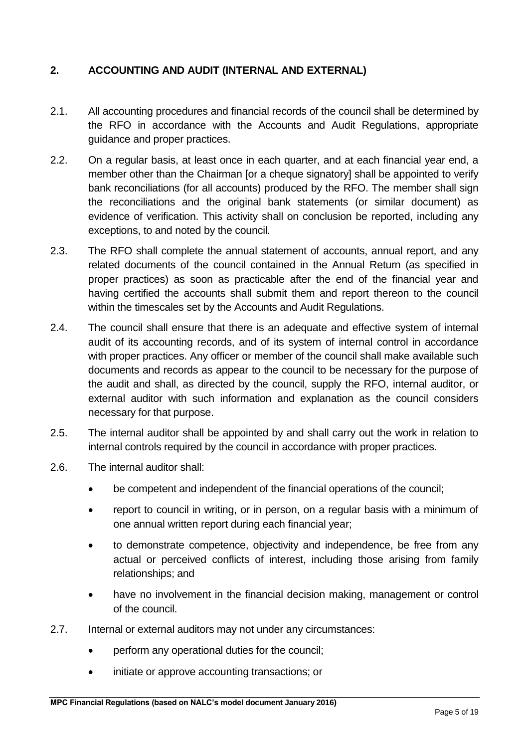# **2. ACCOUNTING AND AUDIT (INTERNAL AND EXTERNAL)**

- 2.1. All accounting procedures and financial records of the council shall be determined by the RFO in accordance with the Accounts and Audit Regulations, appropriate guidance and proper practices.
- 2.2. On a regular basis, at least once in each quarter, and at each financial year end, a member other than the Chairman [or a cheque signatory] shall be appointed to verify bank reconciliations (for all accounts) produced by the RFO. The member shall sign the reconciliations and the original bank statements (or similar document) as evidence of verification. This activity shall on conclusion be reported, including any exceptions, to and noted by the council.
- 2.3. The RFO shall complete the annual statement of accounts, annual report, and any related documents of the council contained in the Annual Return (as specified in proper practices) as soon as practicable after the end of the financial year and having certified the accounts shall submit them and report thereon to the council within the timescales set by the Accounts and Audit Regulations.
- 2.4. The council shall ensure that there is an adequate and effective system of internal audit of its accounting records, and of its system of internal control in accordance with proper practices. Any officer or member of the council shall make available such documents and records as appear to the council to be necessary for the purpose of the audit and shall, as directed by the council, supply the RFO, internal auditor, or external auditor with such information and explanation as the council considers necessary for that purpose.
- 2.5. The internal auditor shall be appointed by and shall carry out the work in relation to internal controls required by the council in accordance with proper practices.
- 2.6. The internal auditor shall:
	- be competent and independent of the financial operations of the council;
	- report to council in writing, or in person, on a regular basis with a minimum of one annual written report during each financial year;
	- to demonstrate competence, objectivity and independence, be free from any actual or perceived conflicts of interest, including those arising from family relationships; and
	- have no involvement in the financial decision making, management or control of the council.
- 2.7. Internal or external auditors may not under any circumstances:
	- perform any operational duties for the council;
	- initiate or approve accounting transactions; or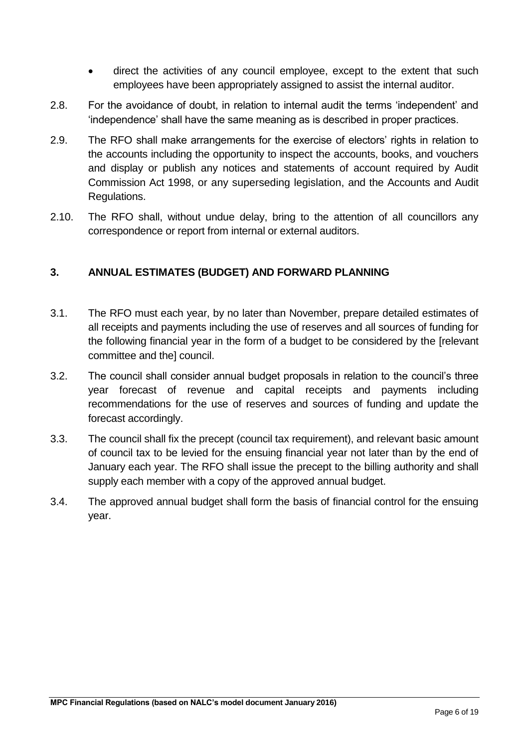- direct the activities of any council employee, except to the extent that such employees have been appropriately assigned to assist the internal auditor.
- 2.8. For the avoidance of doubt, in relation to internal audit the terms 'independent' and 'independence' shall have the same meaning as is described in proper practices.
- 2.9. The RFO shall make arrangements for the exercise of electors' rights in relation to the accounts including the opportunity to inspect the accounts, books, and vouchers and display or publish any notices and statements of account required by Audit Commission Act 1998, or any superseding legislation, and the Accounts and Audit Regulations.
- 2.10. The RFO shall, without undue delay, bring to the attention of all councillors any correspondence or report from internal or external auditors.

# <span id="page-5-0"></span>**3. ANNUAL ESTIMATES (BUDGET) AND FORWARD PLANNING**

- 3.1. The RFO must each year, by no later than November, prepare detailed estimates of all receipts and payments including the use of reserves and all sources of funding for the following financial year in the form of a budget to be considered by the [relevant committee and the] council.
- 3.2. The council shall consider annual budget proposals in relation to the council's three year forecast of revenue and capital receipts and payments including recommendations for the use of reserves and sources of funding and update the forecast accordingly.
- 3.3. The council shall fix the precept (council tax requirement), and relevant basic amount of council tax to be levied for the ensuing financial year not later than by the end of January each year. The RFO shall issue the precept to the billing authority and shall supply each member with a copy of the approved annual budget.
- <span id="page-5-1"></span>3.4. The approved annual budget shall form the basis of financial control for the ensuing year.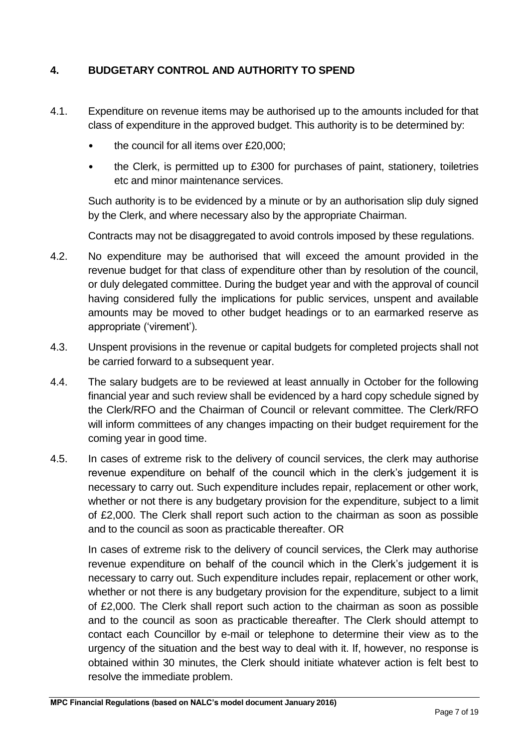# **4. BUDGETARY CONTROL AND AUTHORITY TO SPEND**

- 4.1. Expenditure on revenue items may be authorised up to the amounts included for that class of expenditure in the approved budget. This authority is to be determined by:
	- the council for all items over £20,000;
	- the Clerk, is permitted up to £300 for purchases of paint, stationery, toiletries etc and minor maintenance services.

Such authority is to be evidenced by a minute or by an authorisation slip duly signed by the Clerk, and where necessary also by the appropriate Chairman.

Contracts may not be disaggregated to avoid controls imposed by these regulations.

- 4.2. No expenditure may be authorised that will exceed the amount provided in the revenue budget for that class of expenditure other than by resolution of the council, or duly delegated committee. During the budget year and with the approval of council having considered fully the implications for public services, unspent and available amounts may be moved to other budget headings or to an earmarked reserve as appropriate ('virement').
- 4.3. Unspent provisions in the revenue or capital budgets for completed projects shall not be carried forward to a subsequent year.
- 4.4. The salary budgets are to be reviewed at least annually in October for the following financial year and such review shall be evidenced by a hard copy schedule signed by the Clerk/RFO and the Chairman of Council or relevant committee. The Clerk/RFO will inform committees of any changes impacting on their budget requirement for the coming year in good time.
- 4.5. In cases of extreme risk to the delivery of council services, the clerk may authorise revenue expenditure on behalf of the council which in the clerk's judgement it is necessary to carry out. Such expenditure includes repair, replacement or other work, whether or not there is any budgetary provision for the expenditure, subject to a limit of £2,000. The Clerk shall report such action to the chairman as soon as possible and to the council as soon as practicable thereafter. OR

In cases of extreme risk to the delivery of council services, the Clerk may authorise revenue expenditure on behalf of the council which in the Clerk's judgement it is necessary to carry out. Such expenditure includes repair, replacement or other work, whether or not there is any budgetary provision for the expenditure, subject to a limit of £2,000. The Clerk shall report such action to the chairman as soon as possible and to the council as soon as practicable thereafter. The Clerk should attempt to contact each Councillor by e-mail or telephone to determine their view as to the urgency of the situation and the best way to deal with it. If, however, no response is obtained within 30 minutes, the Clerk should initiate whatever action is felt best to resolve the immediate problem.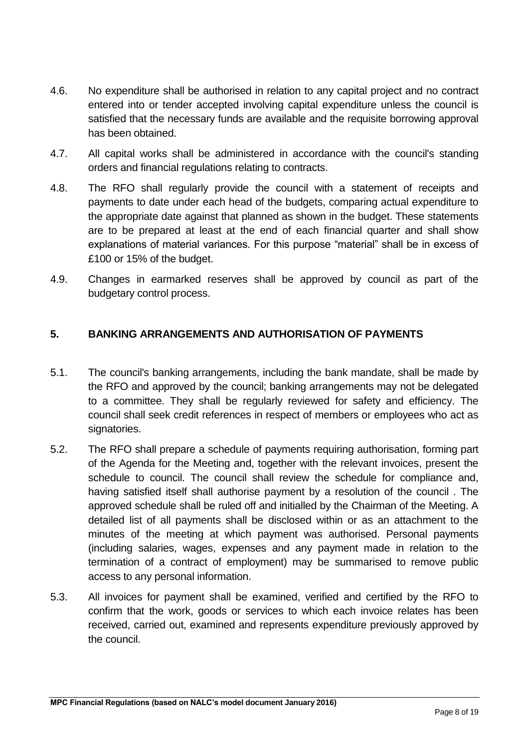- 4.6. No expenditure shall be authorised in relation to any capital project and no contract entered into or tender accepted involving capital expenditure unless the council is satisfied that the necessary funds are available and the requisite borrowing approval has been obtained.
- 4.7. All capital works shall be administered in accordance with the council's standing orders and financial regulations relating to contracts.
- 4.8. The RFO shall regularly provide the council with a statement of receipts and payments to date under each head of the budgets, comparing actual expenditure to the appropriate date against that planned as shown in the budget. These statements are to be prepared at least at the end of each financial quarter and shall show explanations of material variances. For this purpose "material" shall be in excess of £100 or 15% of the budget.
- 4.9. Changes in earmarked reserves shall be approved by council as part of the budgetary control process.

# <span id="page-7-0"></span>**5. BANKING ARRANGEMENTS AND AUTHORISATION OF PAYMENTS**

- 5.1. The council's banking arrangements, including the bank mandate, shall be made by the RFO and approved by the council; banking arrangements may not be delegated to a committee. They shall be regularly reviewed for safety and efficiency. The council shall seek credit references in respect of members or employees who act as signatories.
- 5.2. The RFO shall prepare a schedule of payments requiring authorisation, forming part of the Agenda for the Meeting and, together with the relevant invoices, present the schedule to council. The council shall review the schedule for compliance and, having satisfied itself shall authorise payment by a resolution of the council . The approved schedule shall be ruled off and initialled by the Chairman of the Meeting. A detailed list of all payments shall be disclosed within or as an attachment to the minutes of the meeting at which payment was authorised. Personal payments (including salaries, wages, expenses and any payment made in relation to the termination of a contract of employment) may be summarised to remove public access to any personal information.
- 5.3. All invoices for payment shall be examined, verified and certified by the RFO to confirm that the work, goods or services to which each invoice relates has been received, carried out, examined and represents expenditure previously approved by the council.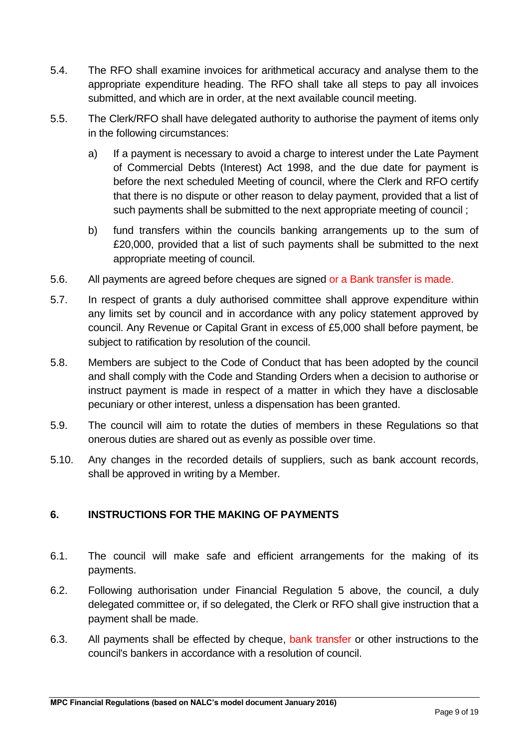- 5.4. The RFO shall examine invoices for arithmetical accuracy and analyse them to the appropriate expenditure heading. The RFO shall take all steps to pay all invoices submitted, and which are in order, at the next available council meeting.
- 5.5. The Clerk/RFO shall have delegated authority to authorise the payment of items only in the following circumstances:
	- a) If a payment is necessary to avoid a charge to interest under the Late Payment of Commercial Debts (Interest) Act 1998, and the due date for payment is before the next scheduled Meeting of council, where the Clerk and RFO certify that there is no dispute or other reason to delay payment, provided that a list of such payments shall be submitted to the next appropriate meeting of council ;
	- b) fund transfers within the councils banking arrangements up to the sum of £20,000, provided that a list of such payments shall be submitted to the next appropriate meeting of council.
- 5.6. All payments are agreed before cheques are signed or a Bank transfer is made.
- 5.7. In respect of grants a duly authorised committee shall approve expenditure within any limits set by council and in accordance with any policy statement approved by council. Any Revenue or Capital Grant in excess of £5,000 shall before payment, be subject to ratification by resolution of the council.
- 5.8. Members are subject to the Code of Conduct that has been adopted by the council and shall comply with the Code and Standing Orders when a decision to authorise or instruct payment is made in respect of a matter in which they have a disclosable pecuniary or other interest, unless a dispensation has been granted.
- 5.9. The council will aim to rotate the duties of members in these Regulations so that onerous duties are shared out as evenly as possible over time.
- 5.10. Any changes in the recorded details of suppliers, such as bank account records, shall be approved in writing by a Member.

#### <span id="page-8-0"></span>**6. INSTRUCTIONS FOR THE MAKING OF PAYMENTS**

- 6.1. The council will make safe and efficient arrangements for the making of its payments.
- 6.2. Following authorisation under Financial Regulation 5 above, the council, a duly delegated committee or, if so delegated, the Clerk or RFO shall give instruction that a payment shall be made.
- 6.3. All payments shall be effected by cheque, bank transfer or other instructions to the council's bankers in accordance with a resolution of council.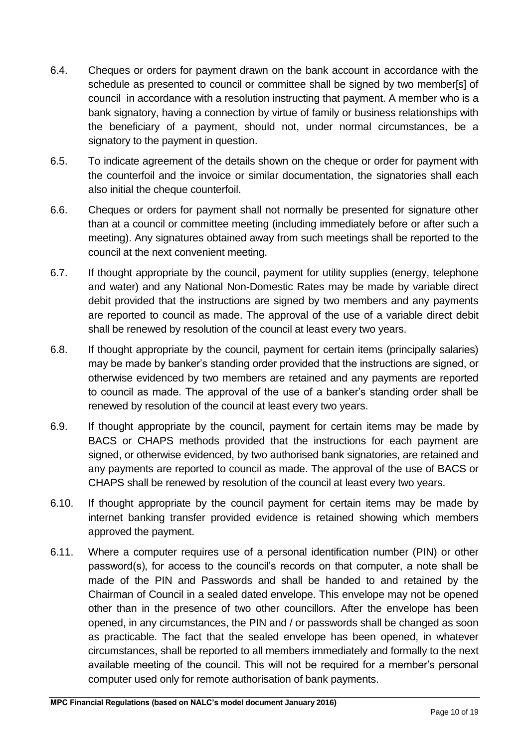- 6.4. Cheques or orders for payment drawn on the bank account in accordance with the schedule as presented to council or committee shall be signed by two member[s] of council in accordance with a resolution instructing that payment. A member who is a bank signatory, having a connection by virtue of family or business relationships with the beneficiary of a payment, should not, under normal circumstances, be a signatory to the payment in question.
- 6.5. To indicate agreement of the details shown on the cheque or order for payment with the counterfoil and the invoice or similar documentation, the signatories shall each also initial the cheque counterfoil.
- 6.6. Cheques or orders for payment shall not normally be presented for signature other than at a council or committee meeting (including immediately before or after such a meeting). Any signatures obtained away from such meetings shall be reported to the council at the next convenient meeting.
- 6.7. If thought appropriate by the council, payment for utility supplies (energy, telephone and water) and any National Non-Domestic Rates may be made by variable direct debit provided that the instructions are signed by two members and any payments are reported to council as made. The approval of the use of a variable direct debit shall be renewed by resolution of the council at least every two years.
- 6.8. If thought appropriate by the council, payment for certain items (principally salaries) may be made by banker's standing order provided that the instructions are signed, or otherwise evidenced by two members are retained and any payments are reported to council as made. The approval of the use of a banker's standing order shall be renewed by resolution of the council at least every two years.
- 6.9. If thought appropriate by the council, payment for certain items may be made by BACS or CHAPS methods provided that the instructions for each payment are signed, or otherwise evidenced, by two authorised bank signatories, are retained and any payments are reported to council as made. The approval of the use of BACS or CHAPS shall be renewed by resolution of the council at least every two years.
- 6.10. If thought appropriate by the council payment for certain items may be made by internet banking transfer provided evidence is retained showing which members approved the payment.
- 6.11. Where a computer requires use of a personal identification number (PIN) or other password(s), for access to the council's records on that computer, a note shall be made of the PIN and Passwords and shall be handed to and retained by the Chairman of Council in a sealed dated envelope. This envelope may not be opened other than in the presence of two other councillors. After the envelope has been opened, in any circumstances, the PIN and / or passwords shall be changed as soon as practicable. The fact that the sealed envelope has been opened, in whatever circumstances, shall be reported to all members immediately and formally to the next available meeting of the council. This will not be required for a member's personal computer used only for remote authorisation of bank payments.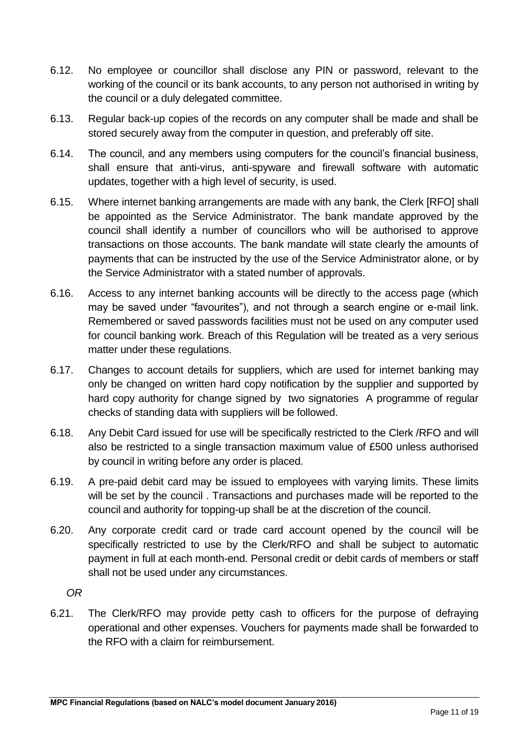- 6.12. No employee or councillor shall disclose any PIN or password, relevant to the working of the council or its bank accounts, to any person not authorised in writing by the council or a duly delegated committee.
- 6.13. Regular back-up copies of the records on any computer shall be made and shall be stored securely away from the computer in question, and preferably off site.
- 6.14. The council, and any members using computers for the council's financial business, shall ensure that anti-virus, anti-spyware and firewall software with automatic updates, together with a high level of security, is used.
- 6.15. Where internet banking arrangements are made with any bank, the Clerk [RFO] shall be appointed as the Service Administrator. The bank mandate approved by the council shall identify a number of councillors who will be authorised to approve transactions on those accounts. The bank mandate will state clearly the amounts of payments that can be instructed by the use of the Service Administrator alone, or by the Service Administrator with a stated number of approvals.
- 6.16. Access to any internet banking accounts will be directly to the access page (which may be saved under "favourites"), and not through a search engine or e-mail link. Remembered or saved passwords facilities must not be used on any computer used for council banking work. Breach of this Regulation will be treated as a very serious matter under these regulations.
- 6.17. Changes to account details for suppliers, which are used for internet banking may only be changed on written hard copy notification by the supplier and supported by hard copy authority for change signed by two signatories A programme of regular checks of standing data with suppliers will be followed.
- 6.18. Any Debit Card issued for use will be specifically restricted to the Clerk /RFO and will also be restricted to a single transaction maximum value of £500 unless authorised by council in writing before any order is placed.
- 6.19. A pre-paid debit card may be issued to employees with varying limits. These limits will be set by the council . Transactions and purchases made will be reported to the council and authority for topping-up shall be at the discretion of the council.
- 6.20. Any corporate credit card or trade card account opened by the council will be specifically restricted to use by the Clerk/RFO and shall be subject to automatic payment in full at each month-end. Personal credit or debit cards of members or staff shall not be used under any circumstances.

*OR* 

6.21. The Clerk/RFO may provide petty cash to officers for the purpose of defraying operational and other expenses. Vouchers for payments made shall be forwarded to the RFO with a claim for reimbursement.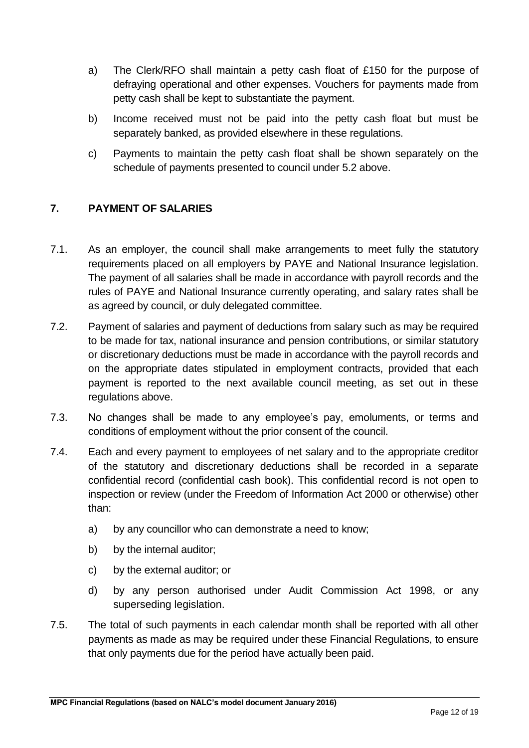- a) The Clerk/RFO shall maintain a petty cash float of £150 for the purpose of defraying operational and other expenses. Vouchers for payments made from petty cash shall be kept to substantiate the payment.
- b) Income received must not be paid into the petty cash float but must be separately banked, as provided elsewhere in these regulations.
- c) Payments to maintain the petty cash float shall be shown separately on the schedule of payments presented to council under 5.2 above.

# <span id="page-11-0"></span>**7. PAYMENT OF SALARIES**

- 7.1. As an employer, the council shall make arrangements to meet fully the statutory requirements placed on all employers by PAYE and National Insurance legislation. The payment of all salaries shall be made in accordance with payroll records and the rules of PAYE and National Insurance currently operating, and salary rates shall be as agreed by council, or duly delegated committee.
- 7.2. Payment of salaries and payment of deductions from salary such as may be required to be made for tax, national insurance and pension contributions, or similar statutory or discretionary deductions must be made in accordance with the payroll records and on the appropriate dates stipulated in employment contracts, provided that each payment is reported to the next available council meeting, as set out in these regulations above.
- 7.3. No changes shall be made to any employee's pay, emoluments, or terms and conditions of employment without the prior consent of the council.
- 7.4. Each and every payment to employees of net salary and to the appropriate creditor of the statutory and discretionary deductions shall be recorded in a separate confidential record (confidential cash book). This confidential record is not open to inspection or review (under the Freedom of Information Act 2000 or otherwise) other than:
	- a) by any councillor who can demonstrate a need to know;
	- b) by the internal auditor;
	- c) by the external auditor; or
	- d) by any person authorised under Audit Commission Act 1998, or any superseding legislation.
- 7.5. The total of such payments in each calendar month shall be reported with all other payments as made as may be required under these Financial Regulations, to ensure that only payments due for the period have actually been paid.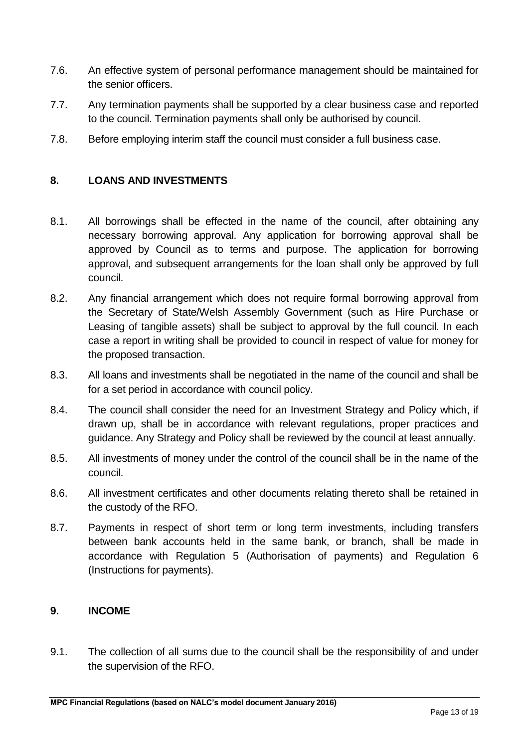- 7.6. An effective system of personal performance management should be maintained for the senior officers.
- 7.7. Any termination payments shall be supported by a clear business case and reported to the council. Termination payments shall only be authorised by council.
- 7.8. Before employing interim staff the council must consider a full business case.

#### <span id="page-12-0"></span>**8. LOANS AND INVESTMENTS**

- 8.1. All borrowings shall be effected in the name of the council, after obtaining any necessary borrowing approval. Any application for borrowing approval shall be approved by Council as to terms and purpose. The application for borrowing approval, and subsequent arrangements for the loan shall only be approved by full council.
- 8.2. Any financial arrangement which does not require formal borrowing approval from the Secretary of State/Welsh Assembly Government (such as Hire Purchase or Leasing of tangible assets) shall be subject to approval by the full council. In each case a report in writing shall be provided to council in respect of value for money for the proposed transaction.
- 8.3. All loans and investments shall be negotiated in the name of the council and shall be for a set period in accordance with council policy.
- 8.4. The council shall consider the need for an Investment Strategy and Policy which, if drawn up, shall be in accordance with relevant regulations, proper practices and guidance. Any Strategy and Policy shall be reviewed by the council at least annually.
- 8.5. All investments of money under the control of the council shall be in the name of the council.
- 8.6. All investment certificates and other documents relating thereto shall be retained in the custody of the RFO.
- 8.7. Payments in respect of short term or long term investments, including transfers between bank accounts held in the same bank, or branch, shall be made in accordance with Regulation 5 (Authorisation of payments) and Regulation 6 (Instructions for payments).

#### <span id="page-12-1"></span>**9. INCOME**

9.1. The collection of all sums due to the council shall be the responsibility of and under the supervision of the RFO.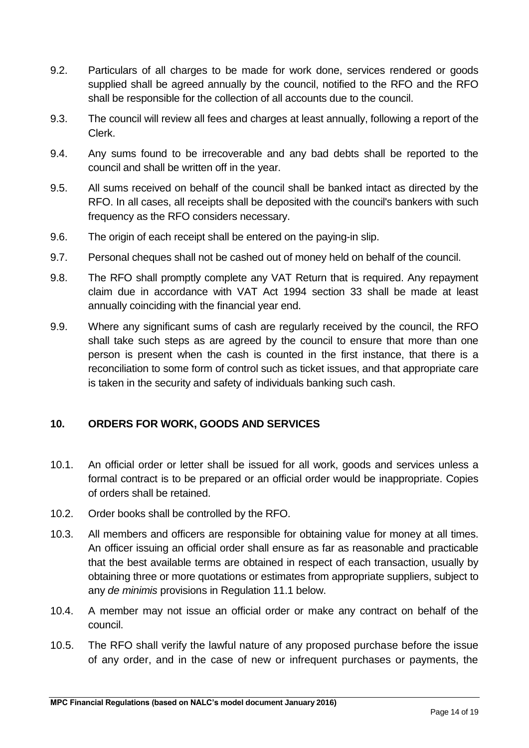- 9.2. Particulars of all charges to be made for work done, services rendered or goods supplied shall be agreed annually by the council, notified to the RFO and the RFO shall be responsible for the collection of all accounts due to the council.
- 9.3. The council will review all fees and charges at least annually, following a report of the Clerk.
- 9.4. Any sums found to be irrecoverable and any bad debts shall be reported to the council and shall be written off in the year.
- 9.5. All sums received on behalf of the council shall be banked intact as directed by the RFO. In all cases, all receipts shall be deposited with the council's bankers with such frequency as the RFO considers necessary.
- 9.6. The origin of each receipt shall be entered on the paying-in slip.
- 9.7. Personal cheques shall not be cashed out of money held on behalf of the council.
- 9.8. The RFO shall promptly complete any VAT Return that is required. Any repayment claim due in accordance with VAT Act 1994 section 33 shall be made at least annually coinciding with the financial year end.
- 9.9. Where any significant sums of cash are regularly received by the council, the RFO shall take such steps as are agreed by the council to ensure that more than one person is present when the cash is counted in the first instance, that there is a reconciliation to some form of control such as ticket issues, and that appropriate care is taken in the security and safety of individuals banking such cash.

#### <span id="page-13-0"></span>**10. ORDERS FOR WORK, GOODS AND SERVICES**

- 10.1. An official order or letter shall be issued for all work, goods and services unless a formal contract is to be prepared or an official order would be inappropriate. Copies of orders shall be retained.
- 10.2. Order books shall be controlled by the RFO.
- 10.3. All members and officers are responsible for obtaining value for money at all times. An officer issuing an official order shall ensure as far as reasonable and practicable that the best available terms are obtained in respect of each transaction, usually by obtaining three or more quotations or estimates from appropriate suppliers, subject to any *de minimis* provisions in Regulation 11.1 below.
- 10.4. A member may not issue an official order or make any contract on behalf of the council.
- 10.5. The RFO shall verify the lawful nature of any proposed purchase before the issue of any order, and in the case of new or infrequent purchases or payments, the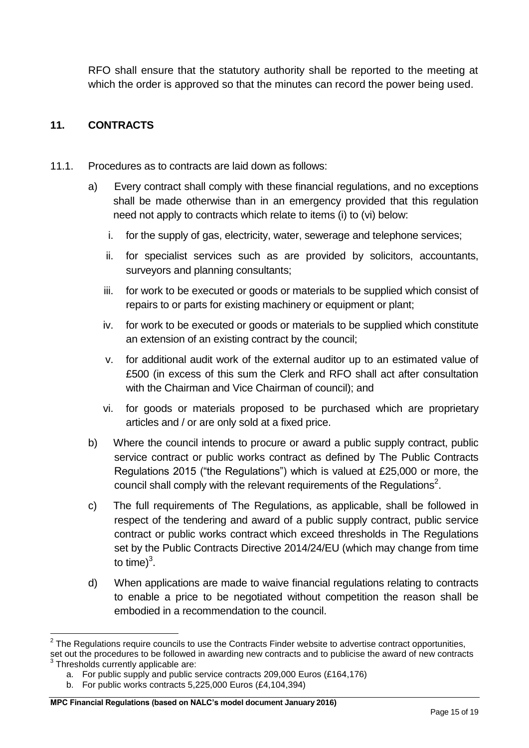RFO shall ensure that the statutory authority shall be reported to the meeting at which the order is approved so that the minutes can record the power being used.

# <span id="page-14-0"></span>**11. CONTRACTS**

- 11.1. Procedures as to contracts are laid down as follows:
	- a) Every contract shall comply with these financial regulations, and no exceptions shall be made otherwise than in an emergency provided that this regulation need not apply to contracts which relate to items (i) to (vi) below:
		- i. for the supply of gas, electricity, water, sewerage and telephone services;
		- ii. for specialist services such as are provided by solicitors, accountants, surveyors and planning consultants;
		- iii. for work to be executed or goods or materials to be supplied which consist of repairs to or parts for existing machinery or equipment or plant;
		- iv. for work to be executed or goods or materials to be supplied which constitute an extension of an existing contract by the council;
		- v. for additional audit work of the external auditor up to an estimated value of £500 (in excess of this sum the Clerk and RFO shall act after consultation with the Chairman and Vice Chairman of council); and
		- vi. for goods or materials proposed to be purchased which are proprietary articles and / or are only sold at a fixed price.
	- b) Where the council intends to procure or award a public supply contract, public service contract or public works contract as defined by The Public Contracts Regulations 2015 ("the Regulations") which is valued at £25,000 or more, the council shall comply with the relevant requirements of the Regulations<sup>2</sup>.
	- c) The full requirements of The Regulations, as applicable, shall be followed in respect of the tendering and award of a public supply contract, public service contract or public works contract which exceed thresholds in The Regulations set by the Public Contracts Directive 2014/24/EU (which may change from time to time) $3$ .
	- d) When applications are made to waive financial regulations relating to contracts to enable a price to be negotiated without competition the reason shall be embodied in a recommendation to the council.

<sup>1</sup>  $2$  The Regulations require councils to use the Contracts Finder website to advertise contract opportunities,

set out the procedures to be followed in awarding new contracts and to publicise the award of new contracts 3 Thresholds currently applicable are:

a. For public supply and public service contracts 209,000 Euros (£164,176)

b. For public works contracts 5,225,000 Euros (£4,104,394)

**MPC Financial Regulations (based on NALC's model document January 2016)**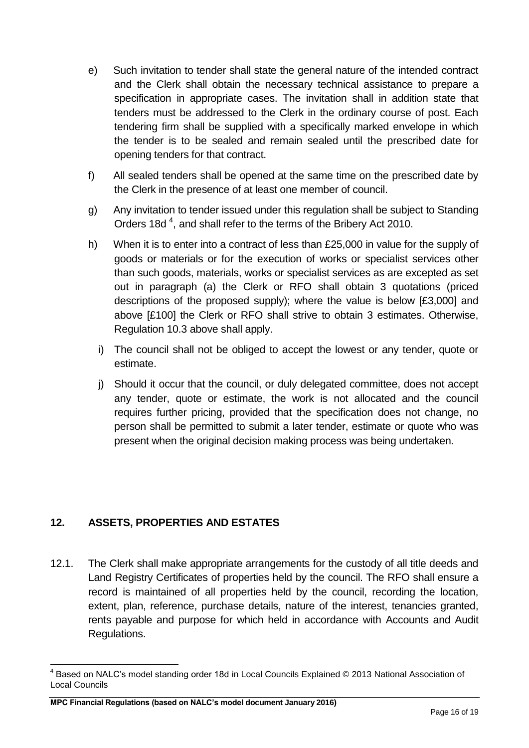- e) Such invitation to tender shall state the general nature of the intended contract and the Clerk shall obtain the necessary technical assistance to prepare a specification in appropriate cases. The invitation shall in addition state that tenders must be addressed to the Clerk in the ordinary course of post. Each tendering firm shall be supplied with a specifically marked envelope in which the tender is to be sealed and remain sealed until the prescribed date for opening tenders for that contract.
- f) All sealed tenders shall be opened at the same time on the prescribed date by the Clerk in the presence of at least one member of council.
- g) Any invitation to tender issued under this regulation shall be subject to Standing Orders 18d<sup>4</sup>, and shall refer to the terms of the Bribery Act 2010.
- h) When it is to enter into a contract of less than £25,000 in value for the supply of goods or materials or for the execution of works or specialist services other than such goods, materials, works or specialist services as are excepted as set out in paragraph (a) the Clerk or RFO shall obtain 3 quotations (priced descriptions of the proposed supply); where the value is below [£3,000] and above [£100] the Clerk or RFO shall strive to obtain 3 estimates. Otherwise, Regulation 10.3 above shall apply.
	- i) The council shall not be obliged to accept the lowest or any tender, quote or estimate.
	- j) Should it occur that the council, or duly delegated committee, does not accept any tender, quote or estimate, the work is not allocated and the council requires further pricing, provided that the specification does not change, no person shall be permitted to submit a later tender, estimate or quote who was present when the original decision making process was being undertaken.

# <span id="page-15-0"></span>**12. ASSETS, PROPERTIES AND ESTATES**

12.1. The Clerk shall make appropriate arrangements for the custody of all title deeds and Land Registry Certificates of properties held by the council. The RFO shall ensure a record is maintained of all properties held by the council, recording the location, extent, plan, reference, purchase details, nature of the interest, tenancies granted, rents payable and purpose for which held in accordance with Accounts and Audit Regulations.

<sup>1</sup>  $^{4}$  Based on NALC's model standing order 18d in Local Councils Explained © 2013 National Association of Local Councils

**MPC Financial Regulations (based on NALC's model document January 2016)**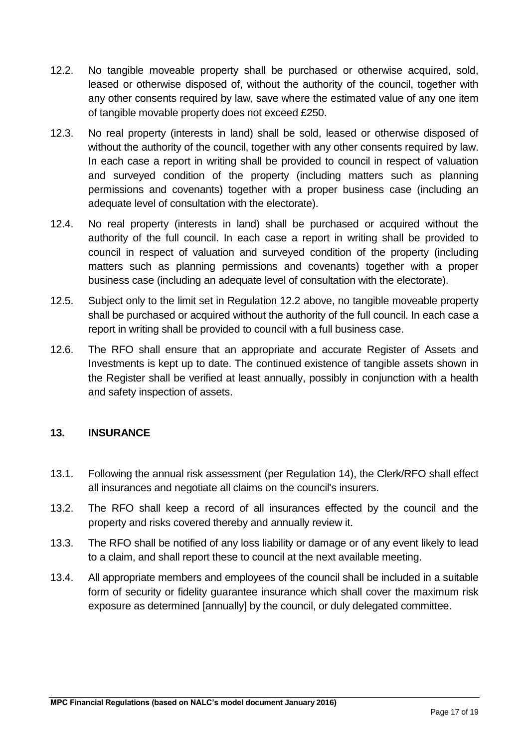- 12.2. No tangible moveable property shall be purchased or otherwise acquired, sold, leased or otherwise disposed of, without the authority of the council, together with any other consents required by law, save where the estimated value of any one item of tangible movable property does not exceed £250.
- 12.3. No real property (interests in land) shall be sold, leased or otherwise disposed of without the authority of the council, together with any other consents required by law. In each case a report in writing shall be provided to council in respect of valuation and surveyed condition of the property (including matters such as planning permissions and covenants) together with a proper business case (including an adequate level of consultation with the electorate).
- 12.4. No real property (interests in land) shall be purchased or acquired without the authority of the full council. In each case a report in writing shall be provided to council in respect of valuation and surveyed condition of the property (including matters such as planning permissions and covenants) together with a proper business case (including an adequate level of consultation with the electorate).
- 12.5. Subject only to the limit set in Regulation 12.2 above, no tangible moveable property shall be purchased or acquired without the authority of the full council. In each case a report in writing shall be provided to council with a full business case.
- 12.6. The RFO shall ensure that an appropriate and accurate Register of Assets and Investments is kept up to date. The continued existence of tangible assets shown in the Register shall be verified at least annually, possibly in conjunction with a health and safety inspection of assets.

# <span id="page-16-0"></span>**13. INSURANCE**

- 13.1. Following the annual risk assessment (per Regulation 14), the Clerk/RFO shall effect all insurances and negotiate all claims on the council's insurers.
- 13.2. The RFO shall keep a record of all insurances effected by the council and the property and risks covered thereby and annually review it.
- 13.3. The RFO shall be notified of any loss liability or damage or of any event likely to lead to a claim, and shall report these to council at the next available meeting.
- 13.4. All appropriate members and employees of the council shall be included in a suitable form of security or fidelity guarantee insurance which shall cover the maximum risk exposure as determined [annually] by the council, or duly delegated committee.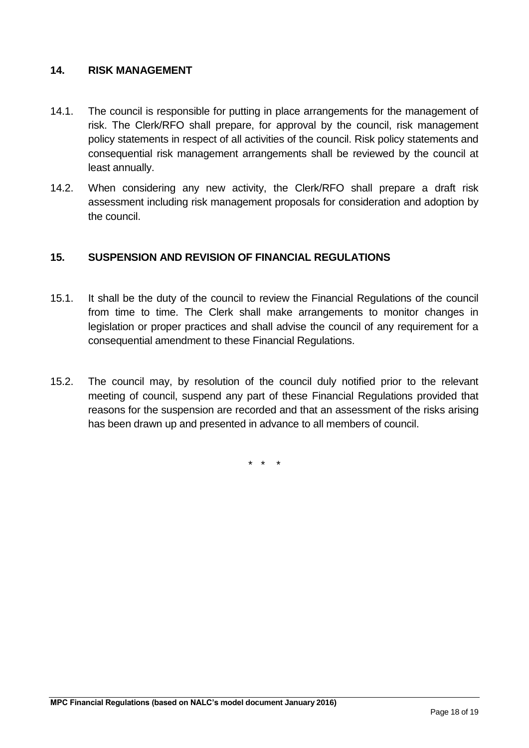#### <span id="page-17-0"></span>**14. RISK MANAGEMENT**

- 14.1. The council is responsible for putting in place arrangements for the management of risk. The Clerk/RFO shall prepare, for approval by the council, risk management policy statements in respect of all activities of the council. Risk policy statements and consequential risk management arrangements shall be reviewed by the council at least annually.
- 14.2. When considering any new activity, the Clerk/RFO shall prepare a draft risk assessment including risk management proposals for consideration and adoption by the council.

#### <span id="page-17-1"></span>**15. SUSPENSION AND REVISION OF FINANCIAL REGULATIONS**

- 15.1. It shall be the duty of the council to review the Financial Regulations of the council from time to time. The Clerk shall make arrangements to monitor changes in legislation or proper practices and shall advise the council of any requirement for a consequential amendment to these Financial Regulations.
- 15.2. The council may, by resolution of the council duly notified prior to the relevant meeting of council, suspend any part of these Financial Regulations provided that reasons for the suspension are recorded and that an assessment of the risks arising has been drawn up and presented in advance to all members of council.

\* \* \*